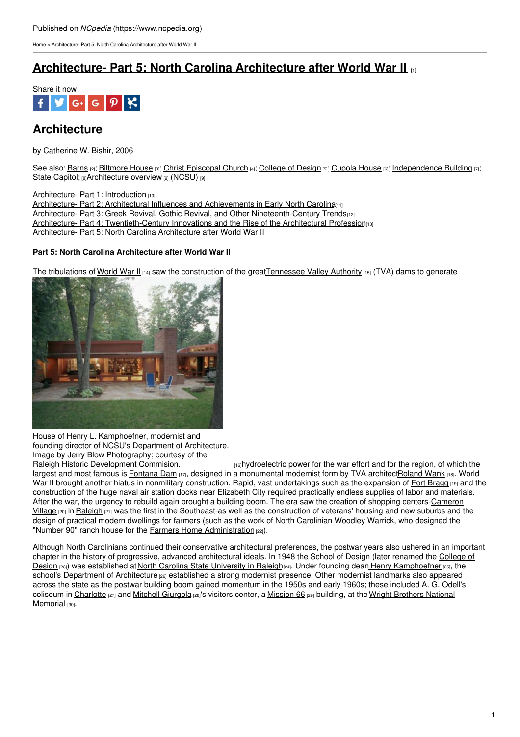[Home](https://www.ncpedia.org/) > Architecture- Part 5: North Carolina Architecture after World War II

# **[Architecture-](https://www.ncpedia.org/architecture-part-5-north-carolina) Part 5: North Carolina Architecture after World War II [1]**



# **Architecture**

by Catherine W. Bishir, 2006

See also: [Barns](https://www.ncpedia.org/barns) [2]; [Biltmore](https://www.ncpedia.org/biltmore-house) House [3]; Christ [Episcopal](https://www.ncpedia.org/christ-episcopal-church) Church [4]; [College](https://www.ncpedia.org/college-design) of Design [5]; [Cupola](https://www.ncpedia.org/cupola-house) House [6]; [Independence](https://www.ncpedia.org/independence-building) Building [7]; State [Capitol;](https://www.ncpedia.org/state-capitol) [8] [Architecture](https://www.ncpedia.org/architecture-overview) overview [9] [\(NCSU\)](https://www.ncpedia.org/architecture-overview) [9]

[Architecture-](https://www.ncpedia.org/architecture) Part 1: Introduction [10]

Architecture- Part 2: Architectural Influences and [Achievements](https://www.ncpedia.org/architecture-part-2-architectural) in Early North Carolina

Architecture- Part 3: Greek Revival, Gothic Revival, and Other [Nineteenth-Century](https://www.ncpedia.org/architecture-part-3-greek-revival) Trends[12]

Architecture- Part 4: [Twentieth-Century](https://www.ncpedia.org/architecture-part-4-twentieth) [Innovations](http://www.social9.com) and the Rise of the Architectural Profession(13)

Architecture- Part 5: North Carolina Architecture after World War II

## **Part 5: North Carolina Architecture after World War II**

The tribulations of [World](https://www.ncpedia.org/world-war-ii) War II  $_{[14]}$  saw the construction of the grea[tTennessee](http://www.tva.com/abouttva/history.htm) Valley Authority  $_{[15]}$  (TVA) dams to generate



House of Henry L. Kamphoefner, modernist and founding director of NCSU's Department of Architecture. Image by Jerry Blow Photography; courtesy of the<br>Raleigh Historic Development Commision.

[16]hydroelectric power for the war effort and for the region, of which the largest and most famous is [Fontana](https://www.ncpedia.org/fontana-dam) Dam [17], designed in a monumental modernist form by TVA architec[tRoland](http://www.tva.com/heritage/design/index.htm) Wank [18]. World War II brought another hiatus in nonmilitary construction. Rapid, vast undertakings such as the expansion of Fort [Bragg](https://www.ncpedia.org/fort-bragg) [19] and the construction of the huge naval air station docks near Elizabeth City required practically endless supplies of labor and materials. After the war, the urgency to rebuild again brought a building boom. The era saw the creation of shopping [centers-Cameron](https://www.ncpedia.org/cameron-village) Village [20] in [Raleigh](https://www.ncpedia.org/geography/raleigh) [21] was the first in the Southeast-as well as the construction of veterans' housing and new suburbs and the design of practical modern dwellings for farmers (such as the work of North Carolinian Woodley Warrick, who designed the "Number 90" ranch house for the Farmers Home [Administration](http://www.archives.gov/research/guide-fed-records/groups/096.html) [22]).

Although North Carolinians continued their conservative architectural preferences, the postwar years also ushered in an important chapter in the history of progressive, advanced architectural ideals. In 1948 the School of Design (later renamed the College of Design [23]) was established at North Carolina State [University](https://www.ncpedia.org/north-carolina-state-university) in Raleigh[24]. Under founding dean Henry [Kamphoefner](http://design.ncsu.edu/) [25], the school's [Department](http://design.ncsu.edu/academic-programs/architecture) of Architecture <sub>[26]</sub> established a strong modernist presence. Other modernist landmarks also appeared across the state as the postwar building boom gained momentum in the 1950s and early 1960s; these included A. G. Odell's coliseum in [Charlotte](https://www.ncpedia.org/wright-brothers-national-memorial)  $_{[27]}$  and Mitchell [Giurgola](http://www.mitchellgiurgola.com/)  $_{[28]}$ 's visitors center, a [Mission](http://www.mission66.com/) 66  $_{[29]}$  building, at the Wright Brothers National Memorial [30].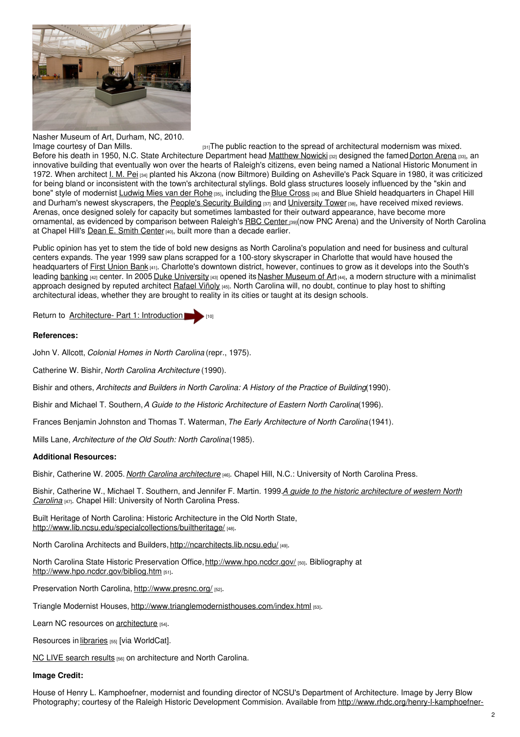

Nasher Museum of Art, Durham, NC, 2010.

Image [courtesy](https://www.flickr.com/photos/thunder/4539123517/) of Dan Mills.  $[31]$ The public reaction to the spread of architectural modernism was mixed. Before his death in 1950, N.C. State Architecture Department head [Matthew](https://www.ncpedia.org/biography/nowicki-matthew) Nowicki [32] designed the famed [Dorton](https://www.ncpedia.org/dorton-arena) Arena [33], an innovative building that eventually won over the hearts of Raleigh's citizens, even being named a National Historic Monument in 1972. When architect I. M. [Pei](http://www.pcf-p.com/a/f/fme/imp/b/b.html) [34] planted his Akzona (now Biltmore) Building on Asheville's Pack Square in 1980, it was criticized for being bland or inconsistent with the town's architectural stylings. Bold glass structures loosely influenced by the "skin and bone" style of modernist [Ludwig](http://www.greatbuildings.com/architects/Ludwig_Mies_van_der_Rohe.html) Mies van der Rohe [35], including the Blue [Cross](https://www.ncpedia.org/blue-cross-and-blue-shield-north-ca) [36] and Blue Shield headquarters in Chapel Hill and Durham's newest skyscrapers, the [People's](http://www.opendurham.org/buildings/300-morgan-st-peoples-security-insurance-building-durham-centre) Security Building [37] and [University](http://endangereddurham.blogspot.com/2011/07/university-tower-pickle-green.html) Tower [38], have received mixed reviews. Arenas, once designed solely for capacity but sometimes lambasted for their outward appearance, have become more ornamental, as evidenced by comparison between Raleigh's RBC [Center](http://www.thepncarena.com/) [39](now PNC Arena) and the University of North Carolina at Chapel Hill's Dean E. Smith [Center](https://www.unc.edu/interactive-tour/athletics/athletics-dean-smith-center)<sub>[40]</sub>, built more than a decade earlier.

Public opinion has yet to stem the tide of bold new designs as North Carolina's population and need for business and cultural centers expands. The year 1999 saw plans scrapped for a 100-story skyscraper in Charlotte that would have housed the headquarters of First [Union](https://www.ncpedia.org/first-union-bank-corporation) Bank [41]. Charlotte's downtown district, however, continues to grow as it develops into the South's leading [banking](https://www.ncpedia.org/banking) [42] center. In 2005 Duke [University](https://www.ncpedia.org/duke-university) [43] opened its Nasher [Museum](http://nasher.duke.edu/) of Art [44], a modern structure with a minimalist approach designed by reputed architect [Rafael](http://www.rvapc.com/) Viñoly [45]. North Carolina will, no doubt, continue to play host to shifting architectural ideas, whether they are brought to reality in its cities or taught at its design schools.

Return to [Architecture-](https://www.ncpedia.org/architecture) Part 1: Introduction

### **References:**

John V. Allcott, *Colonial Homes in North Carolina* (repr., 1975).

Catherine W. Bishir, *North Carolina Architecture* (1990).

Bishir and others, *Architects and Builders in North Carolina: A History of the Practice of Building*(1990).

Bishir and Michael T. Southern,*A Guide to the Historic Architecture of Eastern North Carolina*(1996).

Frances Benjamin Johnston and Thomas T. Waterman,*The Early Architecture of North Carolina*(1941).

Mills Lane, *Architecture of the Old South: North Carolina*(1985).

### **Additional Resources:**

Bishir, Catherine W. 2005. *North Carolina [architecture](https://www.worldcat.org/oclc/61425759)* [46]. Chapel Hill, N.C.: University of North Carolina Press.

Bishir, Catherine W., Michael T. Southern, and Jennifer F. Martin. 1999.*A guide to the historic [architecture](https://www.worldcat.org/oclc/39442990) of western North Carolina* [47]. Chapel Hill: University of North Carolina Press.

Built Heritage of North Carolina: Historic Architecture in the Old North State, <http://www.lib.ncsu.edu/specialcollections/builtheritage/> [48].

North Carolina Architects and Builders, <http://ncarchitects.lib.ncsu.edu/> [49].

North Carolina State Historic Preservation Office,<http://www.hpo.ncdcr.gov/> [50]. Bibliography at <http://www.hpo.ncdcr.gov/bibliog.htm> [51].

Preservation North Carolina, <http://www.presnc.org/> [52].

Triangle Modernist Houses, <http://www.trianglemodernisthouses.com/index.html> [53].

Learn NC resources on [architecture](http://www.learnnc.org/search?aphrase=architecture) [54].

Resources in [libraries](https://www.worldcat.org/search?q=north+carolina+architecture) [55] [via WorldCat].

NC LIVE [search](https://www.nclive.org/cgi-bin/nclsm?url=%22http://search.ebscohost.com/login.aspx?direct=true&dbgroup=9021&bquery=%28%28architecture+AND+north+AND+carolina%29%29&cli0=FT&clv0=Y&type=1&site=ehost-live%22) results [56] on architecture and North Carolina.

#### **Image Credit:**

House of Henry L. Kamphoefner, modernist and founding director of NCSU's Department of Architecture. Image by Jerry Blow Photography; courtesy of the Raleigh Historic Development Commision. Available from [http://www.rhdc.org/henry-l-kamphoefner-](http://www.rhdc.org/henry-l-kamphoefner-house)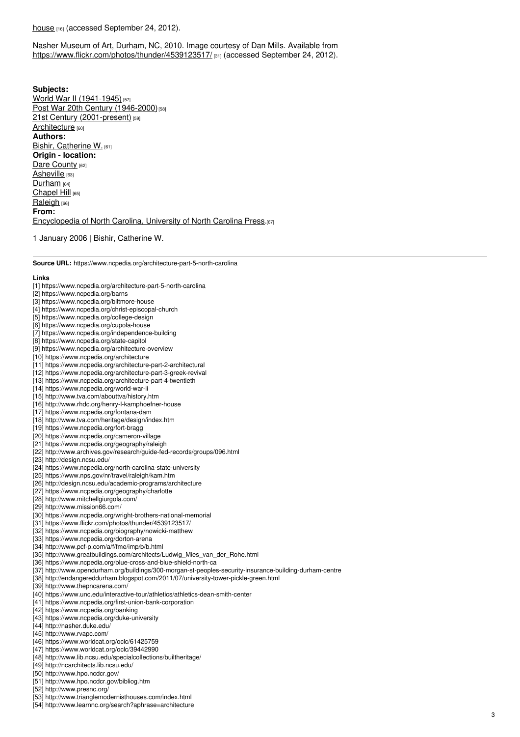#### <u>house <sub>[16]</sub> (</u>accessed September 24, 2012).

Nasher Museum of Art, Durham, NC, 2010. Image courtesy of Dan Mills. Available from https://ww[w.flic](https://www.flickr.com/photos/thunder/4539123517/)kr.com/photos/thunder/4539123517/ թղ (accessed September 24, 2012).

**Subjects:** World War II [\(1941-1945\)](https://www.ncpedia.org/category/subjects/world-war-ii) [57] Post War 20th Century [\(1946-2000\)](https://www.ncpedia.org/category/subjects/post-war-20th-cen)<sup>[58]</sup> 21st Century [\(2001-present\)](https://www.ncpedia.org/category/subjects/21st-century-2001) [59] [Architecture](https://www.ncpedia.org/category/subjects/architecture) [60] **Authors:** Bishir, [Catherine](https://www.ncpedia.org/category/authors/bishir-catherine-w) W. [61] **Origin - location:** Dare [County](https://www.ncpedia.org/category/origin-location/coastal-25) [62] [Asheville](https://www.ncpedia.org/category/origin-location/mountain-9) [63] [Durham](https://www.ncpedia.org/category/origin-location/piedmont-8) [64] [Chapel](https://www.ncpedia.org/category/origin-location/piedmont-5) Hill [65] [Raleigh](https://www.ncpedia.org/category/origin-location/piedmont-0) [66] **From:** [Encyclopedia](https://www.ncpedia.org/category/entry-source/encyclopedia-) of North Carolina, University of North Carolina Press.[67]

1 January 2006 | Bishir, Catherine W.

**Source URL:** https://www.ncpedia.org/architecture-part-5-north-carolina

#### **Links**

- [1] https://www.ncpedia.org/architecture-part-5-north-carolina
- [2] https://www.ncpedia.org/barns
- [3] https://www.ncpedia.org/biltmore-house
- [4] https://www.ncpedia.org/christ-episcopal-church
- [5] https://www.ncpedia.org/college-design
- [6] https://www.ncpedia.org/cupola-house
- [7] https://www.ncpedia.org/independence-building
- [8] https://www.ncpedia.org/state-capitol
- [9] https://www.ncpedia.org/architecture-overview
- [10] https://www.ncpedia.org/architecture
- [11] https://www.ncpedia.org/architecture-part-2-architectural
- [12] https://www.ncpedia.org/architecture-part-3-greek-revival
- [13] https://www.ncpedia.org/architecture-part-4-twentieth
- [14] https://www.ncpedia.org/world-war-ii
- [15] http://www.tva.com/abouttva/history.htm
- [16] http://www.rhdc.org/henry-l-kamphoefner-house
- [17] https://www.ncpedia.org/fontana-dam
- [18] http://www.tva.com/heritage/design/index.htm
- 
- [19] https://www.ncpedia.org/fort-bragg
- [20] https://www.ncpedia.org/cameron-village
- [21] https://www.ncpedia.org/geography/raleigh
- [22] http://www.archives.gov/research/guide-fed-records/groups/096.html
- [23] http://design.ncsu.edu/
- [24] https://www.ncpedia.org/north-carolina-state-university
- [25] https://www.nps.gov/nr/travel/raleigh/kam.htm
- [26] http://design.ncsu.edu/academic-programs/architecture
- [27] https://www.ncpedia.org/geography/charlotte
- [28] http://www.mitchellgiurgola.com/
- [29] http://www.mission66.com/
- [30] https://www.ncpedia.org/wright-brothers-national-memorial
- [31] https://www.flickr.com/photos/thunder/4539123517/
- [32] https://www.ncpedia.org/biography/nowicki-matthew
- [33] https://www.ncpedia.org/dorton-arena
- 
- [34] http://www.pcf-p.com/a/f/fme/imp/b/b.html
- [35] http://www.greatbuildings.com/architects/Ludwig\_Mies\_van\_der\_Rohe.html
- [36] https://www.ncpedia.org/blue-cross-and-blue-shield-north-ca
- [37] http://www.opendurham.org/buildings/300-morgan-st-peoples-security-insurance-building-durham-centr e
- [38] http://endangereddurham.blogspot.com/2011/07/university-tower-pickle-green.html
- [39] http://www.thepncarena.com/
- [40] https://www.unc.edu/interactive-tour/athletics/athletics-dean-smith-center
- [41] https://www.ncpedia.org/first-union-bank-corporation
- [42] https://www.ncpedia.org/banking
- [43] https://www.ncpedia.org/duke-university
- [44] http://nasher.duke.edu/
- [45] http://www.rvapc.com/
- [46] https://www.worldcat.org/oclc/61425759
- [47] https://www.worldcat.org/oclc/39442990
- [48] http://www.lib.ncsu.edu/specialcollections/builtheritage/
- [49] http://ncarchitects.lib.ncsu.edu/
- [50] http://www.hpo.ncdcr.gov/
- [51] http://www.hpo.ncdcr.gov/bibliog.htm
- [52] http://www.presnc.org/
- [53] http://www.trianglemodernisthouses.com/index.html
- [54] http://www.learnnc.org/search?aphrase=architecture